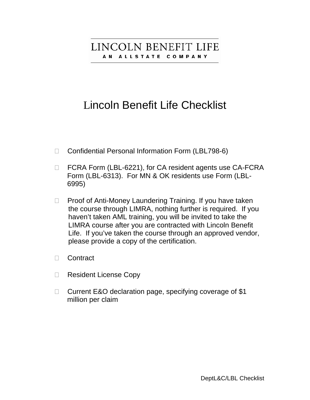# LINCOLN BENEFIT LIFE AN ALLSTATE COMPANY

# Lincoln Benefit Life Checklist

- □ Confidential Personal Information Form (LBL798-6)
- □ FCRA Form (LBL-6221), for CA resident agents use CA-FCRA Form (LBL-6313). For MN & OK residents use Form (LBL- 6995)
- $\Box$  Proof of Anti-Money Laundering Training. If you have taken the course through LIMRA, nothing further is required. If you haven't taken AML training, you will be invited to take the LIMRA course after you are contracted with Lincoln Benefit Life. If you've taken the course through an approved vendor, please provide a copy of the certification.
- Contract
- □ Resident License Copy
- □ Current E&O declaration page, specifying coverage of \$1 million per claim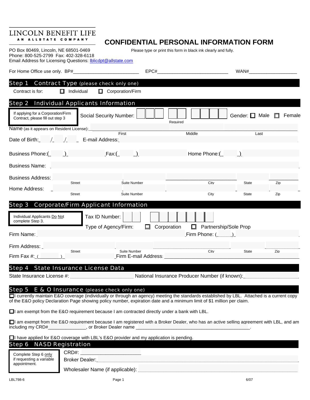#### LINCOLN BENEFIT LIFE AN ALLSTATE COMPANY

# **CONFIDENTIAL PERSONAL INFORMATION FORM**

PO Box 80469, Lincoln, NE 68501-0469 Please type or print this form in black ink clearly and fully.

Phone: 800-525-2799 Fax: 402-328-6118 Email Address for Licensing Questions: **Iblicdpt@allstate.com** 

| Step 1 Contract Type (please check only one)<br>$\Box$ Individual<br>$\Box$ Corporation/Firm<br>Contract is for:                                                                                                                                                                                                           |                       |                                                         |                            |        |
|----------------------------------------------------------------------------------------------------------------------------------------------------------------------------------------------------------------------------------------------------------------------------------------------------------------------------|-----------------------|---------------------------------------------------------|----------------------------|--------|
| Step 2 Individual Applicants Information<br>If applying for a Corporation/Firm<br>Social Security Number:<br>Contract, please fill out step 3                                                                                                                                                                              | Required              |                                                         | Gender: $\Box$ Male $\Box$ | Female |
| Name (as it appears on Resident License): ____________<br>First                                                                                                                                                                                                                                                            |                       | Middle                                                  | Last                       |        |
| Date of Birth: / / / E-mail Address:                                                                                                                                                                                                                                                                                       |                       |                                                         |                            |        |
| Business Phone: ( ) Fax: ( )                                                                                                                                                                                                                                                                                               |                       | Home $Phone: ($ $)$                                     |                            |        |
| <b>Business Name: Business Name: Business Name:</b>                                                                                                                                                                                                                                                                        |                       |                                                         |                            |        |
| Business Address:<br>Street<br>Home Address:                                                                                                                                                                                                                                                                               | Suite Number          | City                                                    | State                      | Zip    |
| Street                                                                                                                                                                                                                                                                                                                     | Suite Number          | City                                                    | State                      | Zip    |
| Step 3 Corporate/Firm Applicant Information                                                                                                                                                                                                                                                                                |                       |                                                         |                            |        |
| Tax ID Number:<br>Individual Applicants Do Not<br>complete Step 3.<br>Type of Agency/Firm:<br>Firm Name: The Contract of the Contract of the Contract of the Contract of the Contract of the Contract of the                                                                                                               | Corporation<br>$\Box$ | $\Box$<br>Partnership/Sole Prop<br>Firm Phone: $(\_\_)$ |                            |        |
| Firm Address: Letter Letter                                                                                                                                                                                                                                                                                                |                       |                                                         |                            |        |
| Street<br>Firm Fax $\#$ : $($                                                                                                                                                                                                                                                                                              | Suite Number          | City                                                    | <b>State</b>               | Zip    |
| Step 4 State Insurance License Data                                                                                                                                                                                                                                                                                        |                       |                                                         |                            |        |
| State Insurance License #: __________________________________National Insurance Producer Number (if known): _____________________                                                                                                                                                                                          |                       |                                                         |                            |        |
| E & O Insurance (please check only one)<br>Step 5<br>□ currently maintain E&O coverage (individually or through an agency) meeting the standards established by LBL. Attached is a current copy<br>of the E&O policy Declaration Page showing policy number, expiration date and a minimum limit of \$1 million per claim. |                       |                                                         |                            |        |
| $\Box$ am exempt from the E&O requirement because I am contracted directly under a bank with LBL.                                                                                                                                                                                                                          |                       |                                                         |                            |        |
| □ am exempt from the E&O requirement because I am registered with a Broker Dealer, who has an active selling agreement with LBL, and am                                                                                                                                                                                    |                       |                                                         |                            |        |
| $\Box$ have applied for E&O coverage with LBL's E&O provider and my application is pending.<br><b>Step 6 NASD Registration</b>                                                                                                                                                                                             |                       |                                                         |                            |        |

Complete Step 6 only CRD#: if requesting a variable **Broker Dealer:** which are a set of the set of the set of the set of the set of the set o<br>appointment. if requesting a variable appointment.

Wholesaler Name (if applicable):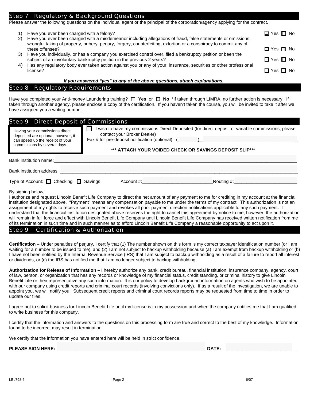### **Regulatory & Background Questions**

Please answer the following questions on the individual agent or the principal of the corporation/agency applying for the contract.

|    | Have you ever been charged with a felony?<br>Have you ever been charged with a misdemeanor including allegations of fraud, false statements or omissions,                             | $\Box$ Yes $\Box$ No |
|----|---------------------------------------------------------------------------------------------------------------------------------------------------------------------------------------|----------------------|
|    | wrongful taking of property, bribery, perjury, forgery, counterfeiting, extortion or a conspiracy to commit any of<br>these offenses?                                                 | $\Box$ Yes $\Box$ No |
| 3) | Have you individually, or has a company you exercised control over, filed a bankruptcy petition or been the<br>subject of an involuntary bankruptcy petition in the previous 2 years? | $\Box$ Yes $\Box$ No |
| 4) | Has any regulatory body ever taken action against you or any of your insurance, securities or other professional<br>license?                                                          | □ Yes □ No           |

#### *If you answered "yes" to any of the above questions, attach explanations.*

#### Step 8 Regulatory Requirements .

Have you completed your Anti-money Laundering training? **□ Yes** or □ No \*If taken through LIMRA, no further action is necessary. If taken through another agency, please enclose a copy of the certification. If you haven't taken the course, you will be invited to take it after we have assigned you a writing number.

| <b>Step 9 Direct Deposit of Commissions</b>                                                                                               |                                                                                                                                                                                                                                                    |
|-------------------------------------------------------------------------------------------------------------------------------------------|----------------------------------------------------------------------------------------------------------------------------------------------------------------------------------------------------------------------------------------------------|
| Having your commissions direct<br>deposited are optional, however, it<br>can speed up the receipt of your<br>commissions by several days. | I wish to have my commissions Direct Deposited (for direct deposit of variable commissions, please<br>contact your Broker Dealer)<br>Fax # for pre-deposit notification (optional): $($<br>*** ATTACH YOUR VOIDED CHECK OR SAVINGS DEPOSIT SLIP*** |
| Bank institution name:                                                                                                                    |                                                                                                                                                                                                                                                    |
| Bank institution address:                                                                                                                 |                                                                                                                                                                                                                                                    |
| Type of Account: $\Box$ Checking $\Box$ Savings                                                                                           | Routing $\#$ :_____________<br>Account #: Account #:                                                                                                                                                                                               |

By signing below,

I authorize and request Lincoln Benefit Life Company to direct the net amount of any payment to me for crediting in my account at the financial institution designated above. "Payment" means any compensation payable to me under the terms of my contract. This authorization is not an assignment of my rights to receive such payment and revokes all prior payment direction notifications applicable to any such payment. I understand that the financial institution designated above reserves the right to cancel this agreement by notice to me; however, the authorization will remain in full force and effect with Lincoln Benefit Life Company until Lincoln Benefit Life Company has received written notification from me of its termination in such time and in such manner as to afford Lincoln Benefit Life Company a reasonable opportunity to act upon it.

#### Step 9 Certification & Authorization

**Certification –** Under penalties of perjury, I certify that (1) The number shown on this form is my correct taxpayer identification number (or I am waiting for a number to be issued to me), and (2) I am not subject to backup withholding because (a) I am exempt from backup withholding or (b) I have not been notified by the Internal Revenue Service (IRS) that I am subject to backup withholding as a result of a failure to report all interest or dividends, or (c) the IRS has notified me that I am no longer subject to backup withholding.

**Authorization for Release of Information –** I hereby authorize any bank, credit bureau, financial institution, insurance company, agency, court of law, person, or organization that has any records or knowledge of my financial status, credit standing, or criminal history to give Lincoln Benefit Life or their representative any such information. It is our policy to develop background information on agents who wish to be appointed with our company using credit reports and criminal court records (involving convictions only). If as a result of the investigation, we are unable to appoint you, we will notify you. Subsequent credit reports and criminal court records reports may be requested from time to time in order to update our files.

I agree not to solicit business for Lincoln Benefit Life until my license is in my possession and when the company notifies me that I am qualified to write business for this company.

I certify that the information and answers to the questions on this processing form are true and correct to the best of my knowledge. Information found to be incorrect may result in termination.

We certify that the information you have entered here will be held in strict confidence.

#### **PLEASE SIGN HERE:** \_\_\_\_\_\_\_\_\_\_\_\_\_\_\_\_\_\_\_\_\_\_\_\_\_\_\_\_\_\_\_\_\_\_\_\_\_\_\_\_\_\_\_\_\_\_\_\_\_\_\_\_\_\_\_\_\_\_\_ **DATE:** \_\_\_\_\_\_\_\_\_\_\_\_\_\_\_\_\_\_\_\_\_\_\_\_\_\_\_\_\_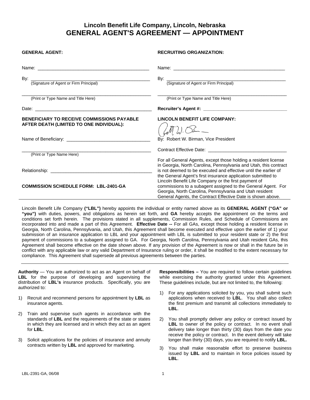## **Lincoln Benefit Life Company, Lincoln, Nebraska GENERAL AGENT'S AGREEMENT — APPOINTMENT**

| <b>GENERAL AGENT:</b>                                                                         | <b>RECRUITING ORGANIZATION:</b>                                                                                                                                                                                                                |
|-----------------------------------------------------------------------------------------------|------------------------------------------------------------------------------------------------------------------------------------------------------------------------------------------------------------------------------------------------|
|                                                                                               |                                                                                                                                                                                                                                                |
| By: Comparison of Agent or Firm Principal                                                     | By: <u>Community Community Community Community Community Community Community Community Community Community Community Community Community Community Community Community Community Community Community Community Community Communi</u>           |
| (Print or Type Name and Title Here)                                                           | (Print or Type Name and Title Here)                                                                                                                                                                                                            |
|                                                                                               |                                                                                                                                                                                                                                                |
| <b>BENEFICIARY TO RECEIVE COMMISSIONS PAYABLE</b><br>AFTER DEATH (LIMITED TO ONE INDIVIDUAL): | <b>LINCOLN BENEFIT LIFE COMPANY:</b>                                                                                                                                                                                                           |
|                                                                                               | By: Robert W. Birman, Vice President                                                                                                                                                                                                           |
| (Print or Type Name Here)                                                                     | Contract Effective Date: New York 1997<br>For all General Agents, except those holding a resident license<br>in Georgia, North Carolina, Pennsylvania and Utah, this contract                                                                  |
|                                                                                               | is not deemed to be executed and effective until the earlier of<br>the General Agent's first insurance application submitted to                                                                                                                |
| <b>COMMISSION SCHEDULE FORM: LBL-2401-GA</b>                                                  | Lincoln Benefit Life Company or the first payment of<br>commissions to a subagent assigned to the General Agent. For<br>Georgia, North Carolina, Pennsylvania and Utah resident<br>General Agents, the Contract Effective Date is shown above. |

Lincoln Benefit Life Company **("LBL")** hereby appoints the individual or entity named above as its **GENERAL AGENT ("GA" or "you")** with duties, powers, and obligations as herein set forth, and **GA** hereby accepts the appointment on the terms and conditions set forth herein. The provisions stated in all supplements, Commission Rules, and Schedule of Commissions are incorporated into and made a part of this Agreement. **Effective Date --** For all GAs, except those holding a resident license in Georgia, North Carolina, Pennsylvania, and Utah, this Agreement shall become executed and effective upon the earlier of 1) your submission of an insurance application to LBL and your appointment with LBL is submitted to your resident state or 2) the first payment of commissions to a subagent assigned to GA. For Georgia, North Carolina, Pennsylvania and Utah resident GAs, this Agreement shall become effective on the date shown above. If any provision of the Agreement is now or shall in the future be in conflict with any applicable law or any valid Department of Insurance ruling or order, it shall be modified to the extent necessary for compliance. This Agreement shall supersede all previous agreements between the parties.

**Authority** — You are authorized to act as an Agent on behalf of **LBL** for the purpose of developing and supervising the distribution of **LBL's** insurance products. Specifically, you are authorized to:

- 1) Recruit and recommend persons for appointment by **LBL** as insurance agents.
- 2) Train and supervise such agents in accordance with the standards of **LBL** and the requirements of the state or states in which they are licensed and in which they act as an agent for **LBL**.
- 3) Solicit applications for the policies of insurance and annuity contracts written by **LBL** and approved for marketing.

**Responsibilities –** You are required to follow certain guidelines while exercising the authority granted under this Agreement. These guidelines include, but are not limited to, the following:

- 1) For any applications solicited by you, you shall submit such applications when received to **LBL**. You shall also collect the first premium and transmit all collections immediately to **LBL**.
- 2) You shall promptly deliver any policy or contract issued by LBL to owner of the policy or contract. In no event shall delivery take longer than thirty (30) days from the date you receive the policy or contract. In the event delivery will take longer than thirty (30) days, you are required to notify **LBL.**
- 3) You shall make reasonable effort to preserve business issued by **LBL** and to maintain in force policies issued by **LBL**.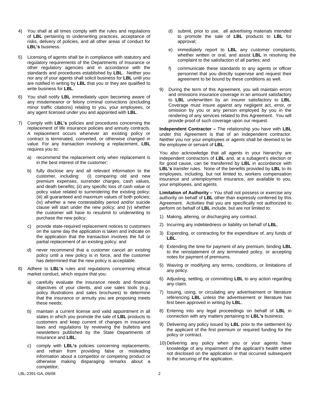- 4) You shall at all times comply with the rules and regulations of **LBL** pertaining to underwriting practices, acceptance of risks, delivery of policies, and all other areas of conduct for **LBL's** business.
- 5) Licensing of agents shall be in compliance with statutory and regulatory requirements of the Departments of Insurance or other regulatory agencies and in accordance with the standards and procedures established by **LBL**. Neither you nor any of your agents shall solicit business for **LBL** until you are notified in writing by **LBL** that you or they are qualified to write business for **LBL**.
- 6) You shall notify **LBL** immediately upon becoming aware of any misdemeanor or felony criminal convictions (excluding minor traffic citations) relating to you, your employees, or any agent licensed under you and appointed with **LBL**.
- 7) Comply with **LBL's** policies and procedures concerning the replacement of life insurance policies and annuity contracts. A replacement occurs whenever an existing policy or contract is terminated, converted, or otherwise changed in value. For any transaction involving a replacement, **LBL** requires you to:
	- a) recommend the replacement only when replacement is in the best interest of the customer;
	- b) fully disclose any and all relevant information to the customer, including: (i) comparing old and new premium expenses, surrender charges, cash values, and death benefits; (ii) any specific loss of cash value or policy value related to surrendering the existing policy; (iii) all guaranteed and maximum values of both policies; (iv) whether a new contestability period and/or suicide clause will start under the new policy; and (v) whether the customer will have to resubmit to underwriting to purchase the new policy;
	- c) provide state-required replacement notices to customers on the same day the application is taken and indicate on the application that the transaction involves the full or partial replacement of an existing policy; and
	- d) never recommend that a customer cancel an existing policy until a new policy is in force, and the customer has determined that the new policy is acceptable.
- 8) Adhere to **LBL's** rules and regulations concerning ethical market conduct, which require that you:
	- a) carefully evaluate the insurance needs and financial objectives of your clients, and use sales tools (e.g., policy illustrations and sales brochures) to determine that the insurance or annuity you are proposing meets these needs;
	- b) maintain a current license and valid appointment in all states in which you promote the sale of **LBL** products to customers and keep current of changes in insurance laws and regulations by reviewing the bulletins and newsletters published by the State Departments of Insurance and **LBL**;
	- c) comply with **LBL's** policies concerning replacements, and refrain from providing false or misleading information about a competitor or competing product or otherwise making disparaging remarks about a competitor;
- d) submit, prior to use, all advertising materials intended to promote the sale of **LBL** products to **LBL** for approval;
- e) immediately report to **LBL** any customer complaints, whether written or oral, and assist **LBL** in resolving the complaint to the satisfaction of all parties; and
- f) communicate these standards to any agents or officer personnel that you directly supervise and request their agreement to be bound by these conditions as well.
- 9) During the term of this Agreement, you will maintain errors and omissions insurance coverage in an amount satisfactory to **LBL** underwritten by an insurer satisfactory to **LBL**. Coverage must insure against any negligent act, error, or omission by you or any person employed by you in the rendering of any services related to this Agreement. You will provide proof of such coverage upon our request.

**Independent Contractor –** The relationship you have with **LBL** under this Agreement is that of an independent contractor. Neither you nor your employees or agents shall be deemed to be the employee or servant of **LBL**.

You also acknowledge that all agents in your hierarchy are independent contractors of **LBL** and, at a subagent's election or for good cause, can be transferred by **LBL** in accordance with **LBL's** transfer rules. None of the benefits provided by **LBL** to its employees, including, but not limited to, workers compensation insurance and unemployment insurance, are available to you, your employees, and agents.

**Limitation of Authority –** You shall not possess or exercise any authority on behalf of **LBL** other than expressly conferred by this Agreement. Activities that you are specifically not authorized to perform on behalf of **LBL** include, but are not limited to:

- 1) Making, altering, or discharging any contract.
- 2) Incurring any indebtedness or liability on behalf of **LBL**.
- 3) Expending, or contracting for the expenditure of, any funds of **LBL**.
- 4) Extending the time for payment of any premium, binding **LBL** to the reinstatement of any terminated policy, or accepting notes for payment of premiums.
- 5) Waiving or modifying any terms, conditions, or limitations of any policy.
- 6) Adjusting, settling, or committing **LBL** to any action regarding any claim.
- 7) Issuing, using, or circulating any advertisement or literature referencing **LBL** unless the advertisement or literature has first been approved in writing by **LBL**.
- 8) Entering into any legal proceedings on behalf of **LBL** in connection with any matters pertaining to **LBL's** business.
- 9) Delivering any policy issued by **LBL** prior to the settlement by the applicant of the first premium or required funding for the policy or contract.
- 10) Delivering any policy when you or your agents have knowledge of any impairment of the applicant's health either not disclosed on the application or that occurred subsequent to the securing of the application.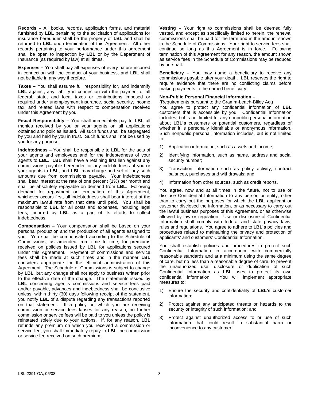**Records –** All books, records, application forms, and material furnished by **LBL** pertaining to the solicitation of applications for insurance hereunder shall be the property of **LBL** and shall be returned to **LBL** upon termination of this Agreement. All other records pertaining to your performance under this agreement shall be open to inspection by **LBL** or by the Department of Insurance (as required by law) at all times.

**Expenses –** You shall pay all expenses of every nature incurred in connection with the conduct of your business, and **LBL** shall not be liable in any way therefore.

**Taxes –** You shall assume full responsibility for, and indemnify **LBL** against, any liability in connection with the payment of all federal, state, and local taxes or contributions imposed or required under unemployment insurance, social security, income tax, and related laws with respect to compensation received under this Agreement by you.

**Fiscal Responsibility –** You shall immediately pay to **LBL** all monies received by you or your agents on all applications obtained and policies issued. All such funds shall be segregated by you and held by you in trust. Such funds shall not be used by you for any purpose.

**Indebtedness –** You shall be responsible to **LBL** for the acts of your agents and employees and for the indebtedness of your agents to **LBL**. **LBL** shall have a retaining first lien against any commissions payable hereunder for any indebtedness of you or your agents to **LBL**, and **LBL** may charge and set off any such amounts due from commissions payable. Your indebtedness shall bear interest at the rate of one percent (1%) per month and shall be absolutely repayable on demand from **LBL**. Following demand for repayment or termination of this Agreement, whichever occurs first, all indebtedness shall bear interest at the maximum lawful rate from that date until paid. You shall be responsible to **LBL** for all costs and expenses, including legal fees, incurred by **LBL** as a part of its efforts to collect indebtedness.

**Compensation –** Your compensation shall be based on your personal production and the production of all agents assigned to you. You shall be compensated according to the Schedule of Commissions, as amended from time to time, for premiums received on policies issued by **LBL** for applications secured under this Agreement. Payment of commissions and service fees shall be made at such times and in the manner **LBL** considers appropriate for the efficient administration of this Agreement. The Schedule of Commissions is subject to change by **LBL**, but any change shall not apply to business written prior to the effective date of the change. The statements issued by **LBL** concerning agent's commissions and service fees paid and/or payable, advances and indebtedness shall be conclusive unless, within thirty (30) days following receipt of the statement, you notify **LBL** of a dispute regarding any transactions reported on that statement. If a policy on which you are receiving commission or service fees lapses for any reason, no further commission or service fees will be paid to you unless the policy is reinstated solely due to your actions. If, for any reason, **LBL** refunds any premium on which you received a commission or service fee, you shall immediately repay to **LBL** the commission or service fee received on such premium.

**Vesting –** Your right to commissions shall be deemed fully vested, and except as specifically limited to herein, the renewal commissions shall be paid for the term and in the amount shown in the Schedule of Commissions. Your right to service fees shall continue so long as this Agreement is in force. Following termination of this Agreement for any reason, the amount shown as service fees in the Schedule of Commissions may be reduced by one-half.

**Beneficiary –** You may name a beneficiary to receive any commissions payable after your death. **LBL** reserves the right to require evidence that there are no conflicting claims before making payments to the named beneficiary.

#### **Non-Public Personal Financial Information –**

(Requirements pursuant to the Gramm-Leach-Bliley Act)

You agree to protect any confidential information of **LBL** customers that is accessible by you. Confidential Information includes, but is not limited to, any nonpublic personal information about **LBL's** customers or potential customers, regardless of whether it is personally identifiable or anonymous information. Such nonpublic personal information includes, but is not limited to:

- 1) Application information, such as assets and income;
- 2) Identifying information, such as name, address and social security number;
- 3) Transaction information such as policy activity; contract balances, purchases and withdrawals; and
- 4) Information from other sources, such as credit reports.

You agree, now and at all times in the future, not to use or disclose Confidential Information to any person or entity, other than to carry out the purposes for which the **LBL** applicant or customer disclosed the information, or as necessary to carry out the lawful business purposes of this Agreement, or as otherwise allowed by law or regulation. Use or disclosure of Confidential Information shall comply with federal and state privacy laws, rules and regulations. You agree to adhere to **LBL's** policies and procedures related to maintaining the privacy and protection of applicants' and customers' Confidential Information.

You shall establish policies and procedures to protect such Confidential Information in accordance with commercially reasonable standards and at a minimum using the same degree of care, but no less than a reasonable degree of care, to prevent the unauthorized use, disclosure or duplication of such Confidential Information as **LBL** uses to protect its own confidential information. You will implement appropriate measures to:

- 1) Ensure the security and confidentiality of **LBL's** customer information;
- 2) Protect against any anticipated threats or hazards to the security or integrity of such information; and
- 3) Protect against unauthorized access to or use of such information that could result in substantial harm or inconvenience to any customer.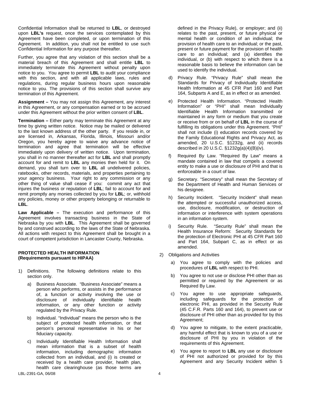Confidential Information shall be returned to **LBL**, or destroyed upon **LBL's** request, once the services contemplated by this Agreement have been completed, or upon termination of this Agreement. In addition, you shall not be entitled to use such Confidential Information for any purpose thereafter.

Further, you agree that any violation of this section shall be a material breach of this Agreement and shall entitle **LBL** to immediately terminate this Agreement without penalty upon notice to you. You agree to permit **LBL** to audit your compliance with this section, and with all applicable laws, rules and regulations, during regular business hours upon reasonable notice to you. The provisions of this section shall survive any termination of this Agreement.

**Assignment –** You may not assign this Agreement, any interest in this Agreement, or any compensation earned or to be accrued under this Agreement without the prior written consent of **LBL**.

**Termination –** Either party may terminate this Agreement at any time by giving written notice. Notice may be mailed or delivered to the last known address of the other party. If you reside in, or are licensed in, Arkansas, Florida, Illinois, Missouri and/or Oregon, you hereby agree to waive any advance notice of termination and agree that termination will be effective immediately upon delivery of written notice. Upon termination, you shall in no manner thereafter act for **LBL** and shall promptly account for and remit to **LBL** any monies then held for it. On demand, you shall turn over to **LBL** all undelivered policies, ratebooks, other records, materials, and properties pertaining to your agency business. Your right to any commission or any other thing of value shall cease if you: commit any act that injures the business or reputation of **LBL**; fail to account for and remit promptly any monies collected by you for **LBL**; or, withhold any policies, money or other property belonging or returnable to **LBL**.

**Law Applicable –** The execution and performance of this Agreement involves transacting business in the State of Nebraska by you with **LBL**. This Agreement shall be governed by and construed according to the laws of the State of Nebraska. All actions with respect to this Agreement shall be brought in a court of competent jurisdiction in Lancaster County, Nebraska.

#### **PROTECTED HEALTH INFORMATION (Requirements pursuant to HIPAA)**

- 1) Definitions. The following definitions relate to this section only.
	- a) Business Associate. "Business Associate" means a person who performs, or assists in the performance of, a function or activity involving the use or disclosure of individually identifiable health information, or any other function or activity regulated by the Privacy Rule.
	- b) Individual. "Individual" means the person who is the subject of protected health information, or that person's personal representative in his or her fiduciary capacity.
	- c) Individually Identifiable Health Information shall mean information that is a subset of health information, including demographic information collected from an individual, and (i) is created or received by a health care provider, health plan, health care clearinghouse (as those terms are

defined in the Privacy Rule), or employer; and (ii) relates to the past, present, or future physical or mental health or condition of an individual; the provision of health care to an individual; or the past, present or future payment for the provision of health care to an individual; and (a) identifies the individual, or (b) with respect to which there is a reasonable basis to believe the information can be used to identify the individual.

- d) Privacy Rule. "Privacy Rule" shall mean the Standards for Privacy of Individually Identifiable Health Information at 45 CFR Part 160 and Part 164, Subparts A and E, as in effect or as amended.
- e) Protected Health Information. "Protected Health Information" or "PHI" shall mean Individually Identifiable Health Information transmitted or maintained in any form or medium that you create or receive from or on behalf of **LBL** in the course of fulfilling its obligations under this Agreement. "PHI" shall not include (i) education records covered by the Family Educational Rights and Privacy Act, as amended, 20 U.S.C. §1232g, and (ii) records described in 20 U.S.C. §1232g(a)(4)(B)(iv).
- f) Required By Law. "Required By Law" means a mandate contained in law that compels a covered entity to make a use or disclosure of PHI and that is enforceable in a court of law.
- Secretary. "Secretary" shall mean the Secretary of the Department of Health and Human Services or his designee.
- h) Security Incident. "Security Incident" shall mean the attempted or successful unauthorized access, use, disclosure, modification, or destruction of information or interference with system operations in an information system.
- i) Security Rule. "Security Rule" shall mean the Health Insurance Reform: Security Standards for the protection of Electronic PHI at 45 CFR Part 160 and Part 164, Subpart C, as in effect or as amended.
- 2) Obligations and Activities
	- a) You agree to comply with the policies and procedures of **LBL** with respect to PHI.
	- b) You agree to not use or disclose PHI other than as permitted or required by the Agreement or as Required By Law.
	- c) You agree to use appropriate safeguards, including safeguards for the protection of electronic PHI, as provided in the Security Rule (45 C.F.R. Parts 160 and 164), to prevent use or disclosure of PHI other than as provided for by this Agreement;
	- d) You agree to mitigate, to the extent practicable, any harmful effect that is known to you of a use or disclosure of PHI by you in violation of the requirements of this Agreement.
	- e) You agree to report to **LBL** any use or disclosure of PHI not authorized or provided for by this Agreement and any Security Incident within 5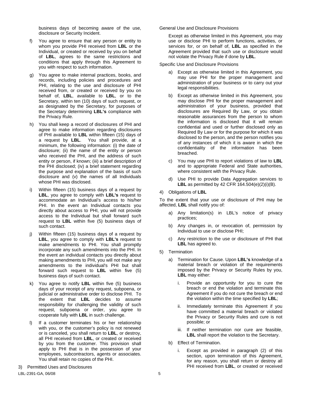business days of becoming aware of the use, disclosure or Security Incident.

- You agree to ensure that any person or entity to whom you provide PHI received from **LBL** or the Individual, or created or received by you on behalf of **LBL**, agrees to the same restrictions and conditions that apply through this Agreement to you with respect to such information.
- g) You agree to make internal practices, books, and records, including policies and procedures and PHI, relating to the use and disclosure of PHI received from, or created or received by you on behalf of, **LBL**, available to **LBL**, or to the Secretary, within ten (10) days of such request, or as designated by the Secretary, for purposes of the Secretary determining **LBL's** compliance with the Privacy Rule.
- h) You shall keep a record of disclosures of PHI and agree to make information regarding disclosures of PHI available to **LBL** within fifteen (15) days of a request by **LBL**. You shall provide, at a minimum, the following information: (i) the date of disclosure; (ii) the name of the entity or person who received the PHI, and the address of such entity or person, if known; (iii) a brief description of the PHI disclosed; (iv) a brief statement regarding the purpose and explanation of the basis of such disclosure and (v) the names of all Individuals whose PHI was disclosed.
- Within fifteen (15) business days of a request by **LBL**, you agree to comply with **LBL's** request to accommodate an Individual's access to his/her PHI. In the event an Individual contacts you directly about access to PHI, you will not provide access to the Individual but shall forward such request to **LBL** within five (5) business days of such contact.
- j) Within fifteen (15) business days of a request by **LBL**, you agree to comply with **LBL's** request to make amendments to PHI. You shall promptly incorporate any such amendments into the PHI. In the event an individual contacts you directly about making amendments to PHI, you will not make any amendments to the individual's PHI but shall forward such request to **LBL** within five (5) business days of such contact.
- k) You agree to notify **LBL** within five (5) business days of your receipt of any request, subpoena, or judicial or administrative order to disclose PHI. To the extent that **LBL** decides to assume responsibility for challenging the validity of such request, subpoena or order, you agree to cooperate fully with **LBL** in such challenge.
- If a customer terminates his or her relationship with you, or the customer's policy is not renewed or is canceled, you shall return to **LBL**, or destroy, all PHI received from **LBL**, or created or received by you from the customer. This provision shall apply to PHI that is in the possession of your employees, subcontractors, agents or associates. You shall retain no copies of the PHI.

use or disclose PHI to perform functions, activities, or services for, or on behalf of, **LBL** as specified in the Agreement provided that such use or disclosure would not violate the Privacy Rule if done by **LBL**.

Except as otherwise limited in this Agreement, you may

Specific Use and Disclosure Provisions

General Use and Disclosure Provisions

- a) Except as otherwise limited in this Agreement, you may use PHI for the proper management and administration of your business or to carry out your legal responsibilities.
- b) Except as otherwise limited in this Agreement, you may disclose PHI for the proper management and administration of your business, provided that disclosures are Required By Law, or you obtain reasonable assurances from the person to whom the information is disclosed that it will remain confidential and used or further disclosed only as Required By Law or for the purpose for which it was disclosed to the person, and the person notifies you of any instances of which it is aware in which the confidentiality of the information has been breached.
- c) You may use PHI to report violations of law to **LBL** and to appropriate Federal and State authorities, where consistent with the Privacy Rule.
- d) Use PHI to provide Data Aggregation services to **LBL** as permitted by 42 CFR 164.504(e)(2)(i)(B).
- 4) Obligations of **LBL**

To the extent that your use or disclosure of PHI may be affected, **LBL** shall notify you of:

- a) Any limitation(s) in LBL's notice of privacy practices;
- b) Any changes in, or revocation of, permission by Individual to use or disclose PHI;
- c) Any restriction to the use or disclosure of PHI that **LBL** has agreed to.
- 5) Termination
	- a) Termination for Cause. Upon **LBL's** knowledge of a material breach or violation of the requirements imposed by the Privacy or Security Rules by you, **LBL** may either:
		- i. Provide an opportunity for you to cure the breach or end the violation and terminate this Agreement if you do not cure the breach or end the violation within the time specified by **LBL**;
		- ii. Immediately terminate this Agreement if you have committed a material breach or violated the Privacy or Security Rules and cure is not possible; or
		- iii. If neither termination nor cure are feasible, **LBL** shall report the violation to the Secretary.
	- b) Effect of Termination.
		- i. Except as provided in paragraph (2) of this section, upon termination of this Agreement, for any reason, you shall return or destroy all PHI received from **LBL**, or created or received

3) Permitted Uses and Disclosures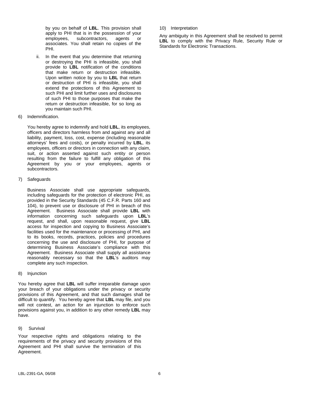by you on behalf of **LBL**. This provision shall apply to PHI that is in the possession of your employees, subcontractors, agents or associates. You shall retain no copies of the PHI.

- ii. In the event that you determine that returning or destroying the PHI is infeasible, you shall provide to **LBL** notification of the conditions that make return or destruction infeasible. Upon written notice by you to **LBL** that return or destruction of PHI is infeasible, you shall extend the protections of this Agreement to such PHI and limit further uses and disclosures of such PHI to those purposes that make the return or destruction infeasible, for so long as you maintain such PHI.
- 6) Indemnification.

 You hereby agree to indemnify and hold **LBL**, its employees, officers and directors harmless from and against any and all liability, payment, loss, cost, expense (including reasonable attorneys' fees and costs), or penalty incurred by **LBL**, its employees, officers or directors in connection with any claim, suit, or action asserted against such entity or person resulting from the failure to fulfill any obligation of this Agreement by you or your employees, agents or subcontractors.

7) Safeguards

Business Associate shall use appropriate safeguards, including safeguards for the protection of electronic PHI, as provided in the Security Standards (45 C.F.R. Parts 160 and 104), to prevent use or disclosure of PHI in breach of this Agreement. Business Associate shall provide **LBL** with information concerning such safeguards upon **LBL**'s request, and shall, upon reasonable request, give **LBL** access for inspection and copying to Business Associate's facilities used for the maintenance or processing of PHI, and to its books, records, practices, policies and procedures concerning the use and disclosure of PHI, for purpose of determining Business Associate's compliance with this Agreement. Business Associate shall supply all assistance reasonably necessary so that the **LBL**'s auditors may complete any such inspection.

8) Injunction

You hereby agree that **LBL** will suffer irreparable damage upon your breach of your obligations under the privacy or security provisions of this Agreement, and that such damages shall be difficult to quantify. You hereby agree that **LBL** may file, and you will not contest, an action for an injunction to enforce such provisions against you, in addition to any other remedy **LBL** may have.

#### 9) Survival

Your respective rights and obligations relating to the requirements of the privacy and security provisions of this Agreement and PHI shall survive the termination of this Agreement.

#### LBL-2391-GA, 06/08 6

10) Interpretation

Any ambiguity in this Agreement shall be resolved to permit LBL to comply with the Privacy Rule, Security Rule or Standards for Electronic Transactions.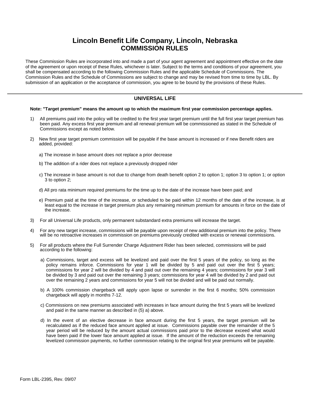# **Lincoln Benefit Life Company, Lincoln, Nebraska COMMISSION RULES**

These Commission Rules are incorporated into and made a part of your agent agreement and appointment effective on the date of the agreement or upon receipt of these Rules, whichever is later. Subject to the terms and conditions of your agreement, you shall be compensated according to the following Commission Rules and the applicable Schedule of Commissions. The Commission Rules and the Schedule of Commissions are subject to change and may be revised from time to time by LBL. By submission of an application or the acceptance of commission, you agree to be bound by the provisions of these Rules.

#### **UNIVERSAL LIFE**

#### **Note: "Target premium" means the amount up to which the maximum first year commission percentage applies.**

- 1) All premiums paid into the policy will be credited to the first year target premium until the full first year target premium has been paid. Any excess first year premium and all renewal premium will be commissioned as stated in the Schedule of Commissions except as noted below.
- 2) New first year target premium commission will be payable if the base amount is increased or if new Benefit riders are added, provided:
	- a) The increase in base amount does not replace a prior decrease
	- b) The addition of a rider does not replace a previously dropped rider
	- c) The increase in base amount is not due to change from death benefit option 2 to option 1; option 3 to option 1; or option 3 to option 2;
	- d) All pro rata minimum required premiums for the time up to the date of the increase have been paid; and
	- e) Premium paid at the time of the increase, or scheduled to be paid within 12 months of the date of the increase, is at least equal to the increase in target premium plus any remaining minimum premium for amounts in force on the date of the increase.
- 3) For all Universal Life products, only permanent substandard extra premiums will increase the target.
- 4) For any new target increase, commissions will be payable upon receipt of new additional premium into the policy. There will be no retroactive increases in commission on premiums previously credited with excess or renewal commissions.
- 5) For all products where the Full Surrender Charge Adjustment Rider has been selected, commissions will be paid according to the following:
	- a) Commissions, target and excess will be levelized and paid over the first 5 years of the policy, so long as the policy remains inforce. Commissions for year 1 will be divided by 5 and paid out over the first 5 years; commissions for year 2 will be divided by 4 and paid out over the remaining 4 years; commissions for year 3 will be divided by 3 and paid out over the remaining 3 years; commissions for year 4 will be divided by 2 and paid out over the remaining 2 years and commissions for year 5 will not be divided and will be paid out normally.
	- b) A 100% commission chargeback will apply upon lapse or surrender in the first 6 months; 50% commission chargeback will apply in months 7-12.
	- c) Commissions on new premiums associated with increases in face amount during the first 5 years will be levelized and paid in the same manner as described in (5) a) above.
	- d) In the event of an elective decrease in face amount during the first 5 years, the target premium will be recalculated as if the reduced face amount applied at issue. Commissions payable over the remainder of the 5 year period will be reduced by the amount actual commissions paid prior to the decrease exceed what would have been paid if the lower face amount applied at issue. If the amount of the reduction exceeds the remaining levelized commission payments, no further commission relating to the original first year premiums will be payable.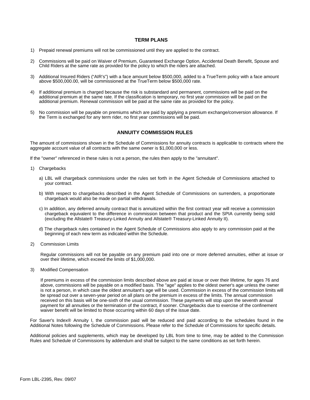#### **TERM PLANS**

- 1) Prepaid renewal premiums will not be commissioned until they are applied to the contract.
- 2) Commissions will be paid on Waiver of Premium, Guaranteed Exchange Option, Accidental Death Benefit, Spouse and Child Riders at the same rate as provided for the policy to which the riders are attached.
- 3) Additional Insured Riders ("AIR's") with a face amount below \$500,000, added to a TrueTerm policy with a face amount above \$500,000.00, will be commissioned at the TrueTerm below \$500,000 rate.
- 4) If additional premium is charged because the risk is substandard and permanent, commissions will be paid on the additional premium at the same rate. If the classification is temporary, no first year commission will be paid on the additional premium. Renewal commission will be paid at the same rate as provided for the policy.
- 5) No commission will be payable on premiums which are paid by applying a premium exchange/conversion allowance. If the Term is exchanged for any term rider, no first year commissions will be paid.

#### **ANNUITY COMMISSION RULES**

The amount of commissions shown in the Schedule of Commissions for annuity contracts is applicable to contracts where the aggregate account value of all contracts with the same owner is \$1,000,000 or less.

If the "owner" referenced in these rules is not a person, the rules then apply to the "annuitant".

- 1) Chargebacks
	- a) LBL will chargeback commissions under the rules set forth in the Agent Schedule of Commissions attached to your contract.
	- b) With respect to chargebacks described in the Agent Schedule of Commissions on surrenders, a proportionate chargeback would also be made on partial withdrawals.
	- c) In addition, any deferred annuity contract that is annuitized within the first contract year will receive a commission chargeback equivalent to the difference in commission between that product and the SPIA currently being sold (excluding the Allstate® Treasury-Linked Annuity and Allstate® Treasury-Linked Annuity II).
	- d) The chargeback rules contained in the Agent Schedule of Commissions also apply to any commission paid at the beginning of each new term as indicated within the Schedule.
- 2) Commission Limits

Regular commissions will not be payable on any premium paid into one or more deferred annuities, either at issue or over their lifetime, which exceed the limits of \$1,000,000.

3) Modified Compensation

If premiums in excess of the commission limits described above are paid at issue or over their lifetime, for ages 76 and above, commissions will be payable on a modified basis. The "age" applies to the oldest owner's age unless the owner is not a person, in which case the oldest annuitant's age will be used. Commission in excess of the commission limits will be spread out over a seven-year period on all plans on the premium in excess of the limits. The annual commission received on this basis will be one-sixth of the usual commission. These payments will stop upon the seventh annual payment for all annuities or the termination of the contract, if sooner. Chargebacks due to exercise of the confinement waiver benefit will be limited to those occurring within 60 days of the issue date.

For Saver's Index® Annuity I, the commission paid will be reduced and paid according to the schedules found in the Additional Notes following the Schedule of Commissions. Please refer to the Schedule of Commissions for specific details.

Additional policies and supplements, which may be developed by LBL from time to time, may be added to the Commission Rules and Schedule of Commissions by addendum and shall be subject to the same conditions as set forth herein.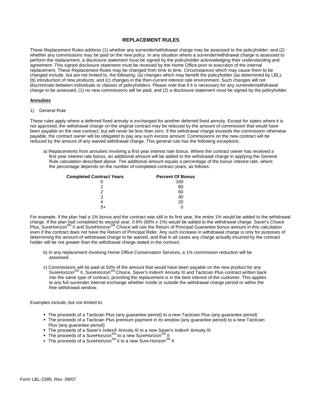#### **REPLACEMENT RULES**

These Replacement Rules address (1) whether any surrender/withdrawal charge may be assessed to the policyholder; and (2) whether any commissions may be paid on the new policy. In any situation where a surrender/withdrawal charge is assessed to perform the replacement, a disclosure statement must be signed by the policyholder acknowledging their understanding and agreement. This signed disclosure statement must be received by the Home Office prior to execution of the internal replacement. These Replacement Rules may be changed from time to time. Circumstances which may cause them to be changed include, but are not limited to, the following: (a) changes which may benefit the policyholder (as determined by LBL); (b) introduction of new products; and (c) changes in the then-current interest rate environment. Such changes will not discriminate between individuals or classes of policyholders. Please note that if it is necessary for any surrender/withdrawal charge to be assessed, (1) no new commissions will be paid, and (2) a disclosure statement must be signed by the policyholder.

#### **Annuities**

#### 1) General Rule

These rules apply where a deferred fixed annuity is exchanged for another deferred fixed annuity. Except for states where it is not approved, the withdrawal charge on the original contract may be reduced by the amount of commission that would have been payable on the new contract, but will never be less than zero. If the withdrawal charge exceeds the commission otherwise payable, the contract owner will be obligated to pay any such excess amount. Commissions on the new contract will be reduced by the amount of any waived withdrawal charge. This general rule has the following exceptions:

a) Replacements from annuities involving a first year interest rate bonus. Where the contract owner has received a first year interest rate bonus, an additional amount will be added to the withdrawal charge in applying the General Rule calculation described above. The additional amount equals a percentage of the bonus interest rate, where the percentage depends on the number of completed contract years, as follows:

| <b>Completed Contract Years</b> | <b>Percent Of Bonus</b> |
|---------------------------------|-------------------------|
|                                 | 100                     |
|                                 | 80                      |
| 2                               | 60                      |
| 3                               | 40                      |
|                                 | 20                      |
|                                 |                         |

For example, if the plan had a 1% bonus and the contract was still in its first year, the entire 1% would be added to the withdrawal charge. If the plan had completed its second year, 0.6% (60% x 1%) would be added to the withdrawal charge. Saver's Choice<br>Plus, SureHorizon<sup>sM</sup> II and SureHorizon<sup>sM</sup> Choice will use the Return of Principal Guarantee bonu even if the contract does not have the Return of Principal Rider. Any such increase in withdrawal charge is only for purposes of determining the amount of withdrawal charge to be waived, and that in all cases any charge actually incurred by the contract holder will be not greater than the withdrawal charge stated in the contract.

- b) In any replacement involving Home Office Conservation Services, a 1% commission reduction will be assessed.
- c) Commissions will be paid at 50% of the amount that would have been payable on the new product for any SureHorizon<sup>SM</sup> II, SureHorizon<sup>SM</sup> Choice, Saver's Index® Annuity III and Tactician Plus contract written back into the same type of contract, providing the replacement is in the best interest of the customer. This applies to any full surrender internal exchange whether inside or outside the withdrawal charge period or within the free withdrawal window.

Examples include, but not limited to:

- The proceeds of a Tactician Plus (any guarantee period) to a new Tactician Plus (any guarantee period)
- The proceeds of a Tactician Plus premium payment in its window (any guarantee period) to a new Tactician Plus (any guarantee period)
- The proceeds of a Saver's Index® Annuity III to a new Saver's Index® Annuity III
- The proceeds of a SureHorizon<sup>SM</sup> to a new SureHorizon<sup>SM</sup> II
- The proceeds of a SureHorizon<sup>SM</sup> II to a new Sure Horizon<sup>SM</sup> II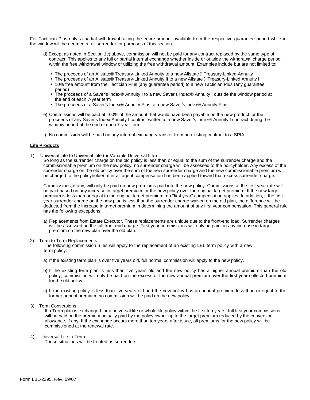For Tactician Plus only, a partial withdrawal taking the entire amount available from the respective guarantee period while in the window will be deemed a full surrender for purposes of this section.

- d) Except as noted in Section 1c) above, commission will not be paid for any contract replaced by the same type of contract. This applies to any full or partial internal exchange whether inside or outside the withdrawal charge period, within the free withdrawal window or utilizing the free withdrawal amount. Examples include but are not limited to:
	- The proceeds of an Allstate® Treasury-Linked Annuity to a new Allstate® Treasury-Linked Annuity
	- The proceeds of an Allstate® Treasury-Linked Annuity II to a new Allstate® Treasury-Linked Annuity II
	- 10% free amount from the Tactician Plus (any guarantee period) to a new Tactician Plus (any guarantee period)
	- The proceeds of a Saver's Index® Annuity I to a new Saver's Index® Annuity I outside the window period at the end of each 7-year term
	- The proceeds of a Saver's Index® Annuity Plus to a new Saver's Index® Annuity Plus
- e) Commissions will be paid at 100% of the amount that would have been payable on the new product for the proceeds of any Saver's Index Annuity I contract written to a new Saver's Index® Annuity I contract during the window period at the end of each 7-year term.
- f) No commission will be paid on any internal exchange/transfer from an existing contract to a SPIA

#### **Life Products**

1) Universal Life to Universal Life (or Variable Universal Life)

So long as the surrender charge on the old policy is less than or equal to the sum of the surrender charge and the commissionable premium on the new policy, no surrender charge will be assessed to the policyholder. Any excess of the surrender charge on the old policy over the sum of the new surrender charge and the new commissionable premium will be charged to the policyholder after all agent compensation has been applied toward that excess surrender charge.

Commissions, if any, will only be paid on new premiums paid into the new policy. Commissions at the first year rate will be paid based on any increase in target premium for the new policy over the original target premium. If the new target premium is less than or equal to the original target premium, no "first year" compensation applies. In addition, if the first year surrender charge on the new plan is less than the surrender charge waived on the old plan, the difference will be deducted from the increase in target premium in determining the amount of any first year compensation. This general rule has the following exceptions:

a) Replacements from Estate Executor. These replacements are unique due to the front-end load. Surrender charges will be assessed on the full front-end charge. First year commissions will only be paid on any increase in target premium on the new plan over the old plan.

#### 2) Term to Term Replacements

The following commission rules will apply to the replacement of an existing LBL term policy with a new term policy:

- a) If the existing term plan is over five years old, full normal commission will apply to the new policy.
- b) If the existing term plan is less than five years old and the new policy has a higher annual premium than the old policy, commission will only be paid on the excess of the new annual premium over the first year collected premium for the old policy.
- c) If the existing policy is less than five years old and the new policy has an annual premium less than or equal to the former annual premium, no commission will be paid on the new policy.
- 3) Term Conversions

If a Term plan is exchanged for a universal life or whole life policy within the first ten years, full first year commissions will be paid on the premium actually paid by the policy owner up to the target premium reduced by the conversion allowance, if any. If the exchange occurs more than ten years after issue, all premiums for the new policy will be commissioned at the renewal rate.

4) Universal Life to Term

These situations will be treated as surrenders.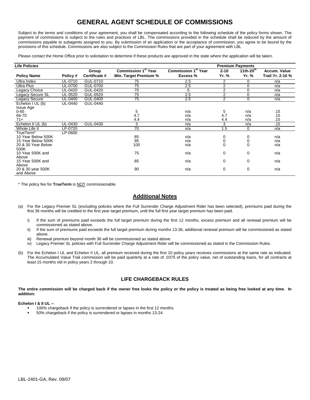# **GENERAL AGENT SCHEDULE OF COMMISSIONS**

Subject to the terms and conditions of your agreement, you shall be compensated according to the following schedule of the policy forms shown. The payment of commissions is subject to the rules and practices of LBL. The commissions provided in the schedule shall be reduced by the amount of commissions payable to subagents assigned to you. By submission of an application or the acceptance of commission, you agree to be bound by the provisions of this schedule. Commissions are also subject to the Commission Rules that are part of your agreement with LBL

Please contact the Home Office prior to solicitation to determine if these products are approved in the state where the application will be taken.

| <b>Life Policies</b> |               |               |                            |                            |             | <b>Premium Payments</b> |                  |
|----------------------|---------------|---------------|----------------------------|----------------------------|-------------|-------------------------|------------------|
|                      |               | Group         | <b>Commission 1st Year</b> | <b>Commission 1st Year</b> | $2 - 10$    | 11th- $20th$            | Accum. Value     |
| <b>Policy Name</b>   | Policy#       | Certificate # | Min. Target Premium %      | Excess %                   | Yr. %       | Yr. %                   | Trail Yr. 2-10 % |
| Ultra Index          | UL-0710       | GUL-0710      | 75                         | 2.5                        | 2           | 0                       | n/a              |
| <b>Ultra Plus</b>    | UL-0700       | GUL-0700      | 75                         | 2.5                        | 2           | 0                       | n/a              |
| Legacy Choice        | UL-0420       | GUL-0420      | $\overline{70}$            | .5                         | 2           | 0                       | n/a              |
| Legacy Secure SL     | UL-0520       | GUL-0520      | 75                         | 2.5                        | 2           | 0                       | n/a              |
| Legacy Secure        | UL-0400       | GUL-0400      | 75                         | 2.5                        | 2           | 0                       | n/a              |
| Echelon I UL (b)     | UL-0440       | GUL-0440      |                            |                            |             |                         |                  |
| Issue Age            |               |               |                            |                            |             |                         |                  |
| $0 - 65$             |               |               | 5                          | n/a                        | 5           | n/a                     | .15              |
| 66-70                |               |               | 4.7                        | n/a                        | 4.7         | n/a                     | .15              |
| $71+$                |               |               | 4.4                        | n/a                        | 4.4         | n/a                     | .15              |
| Echelon II UL (b)    | UL-0430       | GUL-0430      | 3                          | n/a                        | 3           | n/a                     | .15              |
| Whole Life II        | <b>P-0720</b> |               | $\overline{70}$            | n/a                        | 1.5         | 0                       | n/a              |
| TrueTerm*            | LP-0600       |               |                            |                            |             |                         |                  |
| 10 Year Below 500K   |               |               | 85                         | n/a                        | 0           | 0                       | n/a              |
| 15 Year Below 500K   |               |               | 95                         | n/a                        | 0           | $\mathbf 0$             | n/a              |
| 20 & 30 Year Below   |               |               | 100                        | n/a                        | $\mathbf 0$ | $\mathbf 0$             | n/a              |
| 500K                 |               |               |                            |                            |             |                         |                  |
| 10 Year 500K and     |               |               | 75                         | n/a                        | 0           | 0                       | n/a              |
| Above                |               |               |                            |                            |             |                         |                  |
| 15 Year 500K and     |               |               | 85                         | n/a                        | 0           | 0                       | n/a              |
| Above                |               |               |                            |                            |             |                         |                  |
| 20 & 30 year 500K    |               |               | 90                         | n/a                        | 0           | 0                       | n/a              |
| and Above            |               |               |                            |                            |             |                         |                  |

\* The policy fee for **TrueTerm** is NOT commissionable.

#### **Additional Notes**

- (a) For the Legacy Premier SL (excluding policies where the Full Surrender Charge Adjustment Rider has been selected), premiums paid during the first 36 months will be credited to the first year target premium, until the full first year target premium has been paid.
	- i) If the sum of premiums paid exceeds the full target premium during the first 12 months, excess premium and all renewal premium will be commissioned as stated above.
	- ii) If the sum of premiums paid exceeds the full target premium during months 13-36, additional renewal premium will be commissioned as stated above.
	- iii) Renewal premium beyond month 36 will be commissioned as stated above.
	- iv) Legacy Premier SL policies with Full Surrender Charge Adjustment Rider will be commissioned as stated in the Commission Rules.
- (b) For the Echelon I UL and Echelon II UL, all premium received during the first 10 policy years receives commissions at the same rate as indicated. The Accumulated Value Trail commission will be paid quarterly at a rate of .0375 of the policy value, net of outstanding loans, for all contracts at least 15 months old in policy years 2 through 10.

#### **LIFE CHARGEBACK RULES**

**The entire commission will be charged back if the owner free looks the policy or the policy is treated as being free looked at any time. In addition:** 

#### **Echelon I & II UL --**

- 100% chargeback if the policy is surrendered or lapses in the first 12 months.
- 50% chargeback if the policy is surrendered or lapses in months 13-24.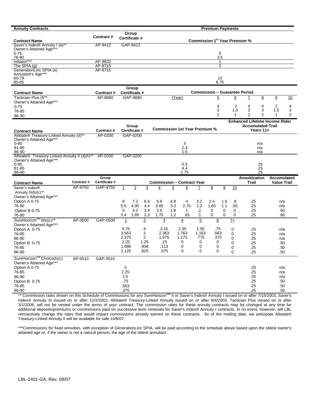| <b>Annuity Contracts</b>                                           |                       |                           |                        |                                  |                                   |                |                                      |                                           | <b>Premium Payments</b> |                 |          |                                       |                 |                    |        |
|--------------------------------------------------------------------|-----------------------|---------------------------|------------------------|----------------------------------|-----------------------------------|----------------|--------------------------------------|-------------------------------------------|-------------------------|-----------------|----------|---------------------------------------|-----------------|--------------------|--------|
|                                                                    |                       | <b>Contract#</b>          | Group<br>Certificate # |                                  |                                   |                |                                      |                                           |                         |                 |          |                                       |                 |                    |        |
| <b>Contract Name</b><br>Saver's Index <sup>®</sup> Annuity I (a)** |                       | AP-9412                   | GAP-9412               |                                  |                                   |                |                                      | Commission 1 <sup>st</sup> Year Premium % |                         |                 |          |                                       |                 |                    |        |
| Owner's Attained Age***                                            |                       |                           |                        |                                  |                                   |                |                                      |                                           |                         |                 |          |                                       |                 |                    |        |
| $0 - 75$                                                           |                       |                           |                        |                                  |                                   |                |                                      |                                           |                         | 5               |          |                                       |                 |                    |        |
| 76-90                                                              |                       |                           |                        |                                  |                                   |                |                                      |                                           |                         | 3.5             |          |                                       |                 |                    |        |
| Initiator***<br>The SPIA $(q)$                                     |                       | AP-9632<br>AP-8715        |                        |                                  |                                   |                |                                      |                                           |                         | -1<br>3         |          |                                       |                 |                    |        |
| GenerationLinc SPIA (e)                                            |                       | AP-8715                   |                        |                                  |                                   |                |                                      |                                           |                         |                 |          |                                       |                 |                    |        |
| Annuitant's Age***                                                 |                       |                           |                        |                                  |                                   |                |                                      |                                           |                         |                 |          |                                       |                 |                    |        |
| 60-79<br>80-85                                                     |                       |                           |                        |                                  |                                   |                |                                      |                                           |                         | 10<br>8.75      |          |                                       |                 |                    |        |
|                                                                    |                       |                           |                        |                                  |                                   |                |                                      |                                           |                         |                 |          |                                       |                 |                    |        |
| <b>Contract Name</b>                                               |                       | Contract#                 | Group<br>Certificate # |                                  |                                   |                |                                      |                                           |                         |                 |          | <b>Commission - Guarantee Period</b>  |                 |                    |        |
| Tactician Plus (f)**                                               |                       | AP-9880                   | GAP-9880               |                                  |                                   |                | (Year)                               |                                           | $\overline{5}$          |                 | 6        | $\mathbf{Z}$                          | $\underline{8}$ | 9                  | 10     |
| Owner's Attained Age***                                            |                       |                           |                        |                                  |                                   |                |                                      |                                           |                         |                 |          |                                       |                 |                    |        |
| $0 - 75$                                                           |                       |                           |                        |                                  |                                   |                |                                      |                                           | 4                       |                 | 2        | 4                                     | 4               | 2                  | 4      |
| 76-85                                                              |                       |                           |                        |                                  |                                   |                |                                      |                                           | 3<br>$\overline{2}$     |                 | 1.5<br>1 | 3<br>$\overline{2}$                   | 3<br>2          | 1.5<br>1           | 3<br>2 |
| 86-90                                                              |                       |                           |                        |                                  |                                   |                |                                      |                                           |                         |                 |          |                                       |                 |                    |        |
|                                                                    |                       |                           |                        |                                  |                                   |                |                                      |                                           |                         |                 |          | <b>Enhanced Lifetime Income Rider</b> |                 |                    |        |
| <b>Contract Name</b>                                               |                       | Contract#                 | Group<br>Certificate # |                                  |                                   |                | <b>Commission 1st Year Premium %</b> |                                           |                         |                 |          | <b>Accumulated Trail</b>              | Years 11+       |                    |        |
| Allstate® Treasury-Linked Annuity (d)**                            |                       | AP-0200                   | GAP-0200               |                                  |                                   |                |                                      |                                           |                         |                 |          |                                       |                 |                    |        |
| Owner's Attained Age***                                            |                       |                           |                        |                                  |                                   |                |                                      |                                           |                         |                 |          |                                       |                 |                    |        |
| $0 - 80$                                                           |                       |                           |                        |                                  |                                   |                | 3                                    |                                           |                         |                 |          |                                       | n/a             |                    |        |
| 81-85<br>86-90                                                     |                       |                           |                        |                                  |                                   |                | 2.4<br>1.5                           |                                           |                         |                 |          |                                       | n/a<br>n/a      |                    |        |
| Allstate® Treasury-Linked Annuity II (d)(h)**                      |                       | AP-0200                   | GAP-0200               |                                  |                                   |                |                                      |                                           |                         |                 |          |                                       |                 |                    |        |
| Owner's Attained Age***                                            |                       |                           |                        |                                  |                                   |                |                                      |                                           |                         |                 |          |                                       |                 |                    |        |
| $0 - 80$<br>81-85                                                  |                       |                           |                        |                                  |                                   |                | 5.5<br>4.4                           |                                           |                         |                 |          |                                       | .25<br>.25      |                    |        |
| 86-90                                                              |                       |                           |                        |                                  |                                   |                | 2.75                                 |                                           |                         |                 |          |                                       | .25             |                    |        |
|                                                                    |                       | Group                     |                        |                                  |                                   |                |                                      |                                           |                         |                 |          | Annuitization                         |                 | <b>Accumulated</b> |        |
| <b>Contract Name</b>                                               | Contract #<br>AP-9750 | Certificate #<br>GAP-9750 |                        |                                  | <b>Commission - Contract Year</b> |                |                                      |                                           |                         |                 |          | Trail                                 |                 | <b>Value Trail</b> |        |
| Saver's Index®<br>Annuity III(b)(c)**                              |                       |                           | $\mathbf{1}$           | $\overline{2}$<br>$\overline{3}$ | $\overline{4}$                    | $\overline{5}$ | 6                                    | Z                                         | $\pmb{8}$               | $\underline{9}$ | 10       |                                       |                 |                    |        |
| Owner's Attained Age***                                            |                       |                           |                        |                                  |                                   |                |                                      |                                           |                         |                 |          |                                       |                 |                    |        |
| Option A 0-75                                                      |                       |                           | 8                      | 7.2<br>6.4                       | 5.6                               | 4.8            | 4                                    | 3.2                                       | 2.4                     | 1.6             | .8       | .25                                   |                 | n/a                |        |
| 76-90                                                              |                       |                           | 5.5                    | 4.95<br>4.4                      | 3.85                              | 3.3            | 2.75                                 | 2.2                                       | 1.65                    | 1.1             | .55      | .25                                   |                 | n/a                |        |
| Option B 0-75                                                      |                       |                           | 5                      | 4.2<br>3.4                       | 2.6                               | 1.8            | $\mathbf{1}$                         | .2                                        | 0                       | 0               | 0        | .25                                   |                 | .60                |        |
| 76-90                                                              |                       |                           | 3.4                    | 2.3<br>2.85                      | 1.75                              | 1.2            | .65                                  | .1                                        | 0                       | 0               | 0        | .25                                   |                 | .60                |        |
| SureHorizon <sup>SM</sup> II(b)(c)**<br>Owner's Attained Age***    | AP-0500               | GAP-0500                  | 1                      | $\overline{2}$                   | 3                                 |                | $\overline{4}$                       | $\overline{5}$                            | $6 \overline{6}$        |                 | $7+$     |                                       |                 |                    |        |
| Option A 0-75                                                      |                       |                           | 4.75                   | 4                                | 3.15                              |                | 2.35                                 | 1.55                                      | .75                     |                 | 0        | .25                                   |                 | n/a                |        |
| 76-85                                                              |                       |                           | 3.563                  | 3                                | 2.363                             |                | 1.763                                | 1.163                                     | .563                    |                 | 0        | .25                                   |                 | n/a                |        |
| 86-90                                                              |                       |                           | 2.375                  | $\overline{2}$                   | 1.575                             |                | 1.175                                | .775                                      | .375                    |                 | 0        | .25                                   |                 | n/a                |        |
| Option B 0-75                                                      |                       |                           | 2.25<br>1.688          | 1.25<br>.938                     | .15<br>.113                       |                | 0<br>0                               | 0<br>0                                    | 0<br>0                  |                 | 0        | .25                                   |                 | .50                |        |
| 76-85                                                              |                       |                           | 1.125                  | .625                             | .075                              |                | 0                                    | 0                                         | 0                       |                 | 0        | .25                                   |                 | .50                |        |
| 86-90                                                              |                       |                           |                        |                                  |                                   |                |                                      |                                           |                         |                 | 0        | .25                                   |                 | .50                |        |
| SureHorizon <sup>SM</sup> Choice(b)(c)<br>Owner's Attained Age***  | AP-0510               | GAP-0510                  |                        |                                  |                                   |                |                                      |                                           |                         |                 |          |                                       |                 |                    |        |
| Option A 0-75                                                      |                       |                           | 3                      |                                  |                                   |                |                                      |                                           |                         |                 |          | .25                                   |                 | n/a                |        |
| 76-85                                                              |                       |                           | 2.25                   |                                  |                                   |                |                                      |                                           |                         |                 |          | .25                                   |                 | n/a                |        |
| 86-90                                                              |                       |                           | 1.5                    |                                  |                                   |                |                                      |                                           |                         |                 |          | .25                                   |                 | n/a                |        |
| Option B 0-75                                                      |                       |                           | .75                    |                                  |                                   |                |                                      |                                           |                         |                 |          | .25                                   |                 | .50                |        |
| 76-85                                                              |                       |                           | .563                   |                                  |                                   |                |                                      |                                           |                         |                 |          | .25                                   |                 | .50                |        |
| 86-90                                                              |                       |                           | .375                   |                                  |                                   |                |                                      |                                           |                         |                 |          | .25                                   |                 | .50                |        |

\*\* Commission rates shown on this Schedule of Commissions for any SureHorizon<sup>SM</sup> II or Saver's Index® Annuity I issued on or after 7/15/2003, Saver's Index® Annuity III issued on or after 12/2/2002, Allstate® Treasury-Linked Annuity issued on or after 8/4/2003, Tactician Plus issued on or after 3/1/2006, will not be vested under the terms of your contract. The commission rates for these annuity contracts may be changed at any time for additional deposits/premiums or commissions paid on successive term renewals for Saver's Index® Annuity I contracts. In no event, however, will LBL retroactively change the rates that would impact commissions already earned on these contracts. As of the mailing date, we anticipate Allstate® Treasury-Linked Annuity II will be available for sale 10/8/07.

\*\*\*Commissions for fixed annuities, with exception of GenerationLinc SPIA, will be paid according to the schedule above based upon the oldest owner's attained age or, if the owner is not a natural person, the age of the oldest annuitant.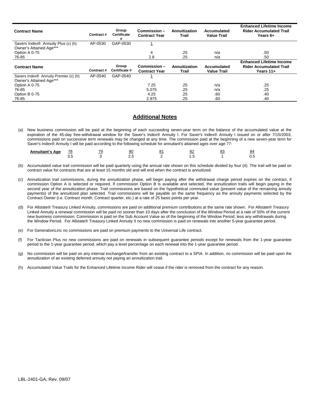| <b>Contract Name</b>                                                         | Contract # | Group<br><b>Certificate</b><br># | Commission -<br><b>Contract Year</b> | Annuitization<br>Trail | Accumulated<br><b>Value Trail</b> | <b>Enhanced Lifetime Income</b><br><b>Rider Accumulated Trail</b><br>Years 6+  |
|------------------------------------------------------------------------------|------------|----------------------------------|--------------------------------------|------------------------|-----------------------------------|--------------------------------------------------------------------------------|
| Savers Index <sup>®</sup> Annuity Plus (c) (h)<br>Owner's Attained Age***    | AP-0530    | GAP-0530                         |                                      |                        |                                   |                                                                                |
| Option A 0-75                                                                |            |                                  | 4                                    | .25                    | n/a                               | .50                                                                            |
| 76-85                                                                        |            |                                  | 2.8                                  | .25                    | n/a                               | .50                                                                            |
| <b>Contract Name</b>                                                         | Contract#  | Group<br>Certificate #           | Commission -<br><b>Contract Year</b> | Annuitization<br>Trail | Accumulated<br><b>Value Trail</b> | <b>Enhanced Lifetime Income</b><br><b>Rider Accumulated Trail</b><br>Years 11+ |
|                                                                              |            |                                  |                                      |                        |                                   |                                                                                |
| Savers Index <sup>®</sup> Annuity Premier (c) (h)<br>Owner's Attained Age*** | AP-0540    | GAP-0540                         |                                      |                        |                                   |                                                                                |
| Option A 0-75                                                                |            |                                  | 7.25                                 | .25                    | n/a                               | .25                                                                            |
| 76-85                                                                        |            |                                  | 5.075                                | .25                    | n/a                               | .25                                                                            |
| Option B 0-75                                                                |            |                                  | 4.25                                 | .25                    | .60                               | .40                                                                            |

#### **Additional Notes**

(a) New business commission will be paid at the beginning of each succeeding seven-year term on the balance of the accumulated value at the expiration of the 45-day free-withdrawal window for the Saver's Index® Annuity I. For Saver's Index® Annuity I issued on or after 7/15/2003, commissions paid on successive term renewals may be changed at any time. The commission paid at the beginning of a new seven-year term for Saver's Index® Annuity I will be paid according to the following schedule for annuitant's attained ages over age 77:

| Annuitant's<br>Age | 78<br>__ | 80  | ഄഺ | 84 |
|--------------------|----------|-----|----|----|
|                    |          | ___ | __ | ◡. |

- (b) Accumulated value trail commission will be paid quarterly using the annual rate shown on this schedule divided by four (4). The trail will be paid on contract value for contracts that are at least 15 months old and will end when the contract is annuitized.
- (c) Annuitization trail commissions, during the annuitization phase, will begin paying after the withdrawal charge period expires on the contract, if commission Option A is selected or required. If commission Option B is available and selected, the annuitization trails will begin paying in the second year of the annuitization phase. Trail commissions are based on the hypothetical commuted value (present value of the remaining annuity payments) of the annuitized plan selected. Trail commissions will be payable on the same frequency as the annuity payments selected by the Contract Owner (i.e. Contract month, Contract quarter, etc.) at a rate of 25 basis points per year.
- (d) For Allstate® Treasury Linked Annuity, commissions are paid on additional premium contributions at the same rate shown. For Allstate® Treasury Linked Annuity a renewal commission will be paid no sooner than 10 days after the conclusion of the Window Period at a rate of 50% of the current new business commission. Commission is paid on the Sub Account Value as of the beginning of the Window Period, less any withdrawals during the Window Period. For Allstate® Treasury Linked Annuity II no new commission is paid on renewals into another 5-year guarantee period.
- (e) For GenerationLinc no commissions are paid on premium payments to the Universal Life contract.
- (f) For Tactician Plus no new commissions are paid on renewals in subsequent guarantee periods except for renewals from the 1-year guarantee period to the 1-year guarantee period, which pay a level percentage on each renewal into the 1-year guarantee period.
- (g) No commission will be paid on any internal exchange/transfer from an existing contract to a SPIA. In addition, no commission will be paid upon the annuitization of an existing deferred annuity not paying an annuitization trail.
- (h) Accumulated Value Trails for the Enhanced Lifetime Income Rider will cease if the rider is removed from the contract for any reason.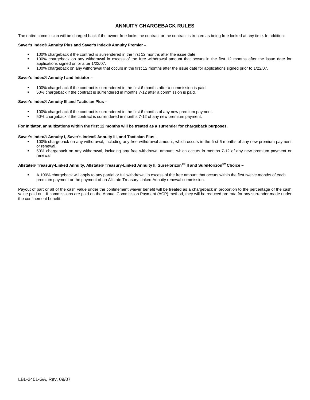#### **ANNUITY CHARGEBACK RULES**

The entire commission will be charged back if the owner free looks the contract or the contract is treated as being free looked at any time. In addition:

#### **Saver's Index® Annuity Plus and Saver's Index® Annuity Premier –**

- 100% chargeback if the contract is surrendered in the first 12 months after the issue date.
- 100% chargeback on any withdrawal in excess of the free withdrawal amount that occurs in the first 12 months after the issue date for applications signed on or after 1/22/07.
- 100% chargeback on any withdrawal that occurs in the first 12 months after the issue date for applications signed prior to 1/22/07.

#### **Saver's Index® Annuity I and Initiator –**

- 100% chargeback if the contract is surrendered in the first 6 months after a commission is paid.
- 50% chargeback if the contract is surrendered in months 7-12 after a commission is paid.

#### **Saver's Index® Annuity III and Tactician Plus –**

- 100% chargeback if the contract is surrendered in the first 6 months of any new premium payment.
- 50% chargeback if the contract is surrendered in months 7-12 of any new premium payment.

#### **For Initiator, annuitizations within the first 12 months will be treated as a surrender for chargeback purposes.**

#### **Saver's Index® Annuity I, Saver's Index® Annuity III, and Tactician Plus -**

- 100% chargeback on any withdrawal, including any free withdrawal amount, which occurs in the first 6 months of any new premium payment or renewal.
- 50% chargeback on any withdrawal, including any free withdrawal amount, which occurs in months 7-12 of any new premium payment or renewal.

#### **Allstate® Treasury-Linked Annuity, Allstate® Treasury-Linked Annuity II, SureHorizonSM II and SureHorizonSM Choice –**

 A 100% chargeback will apply to any partial or full withdrawal in excess of the free amount that occurs within the first twelve months of each premium payment or the payment of an Allstate Treasury Linked Annuity renewal commission.

Payout of part or all of the cash value under the confinement waiver benefit will be treated as a chargeback in proportion to the percentage of the cash value paid out. If commissions are paid on the Annual Commission Payment (ACP) method, they will be reduced pro rata for any surrender made under the confinement benefit.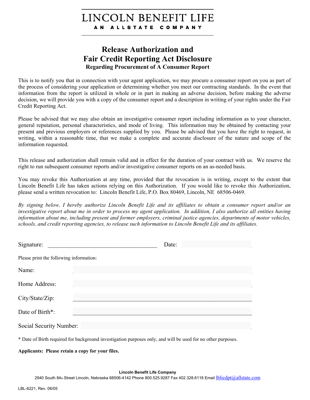# LINCOLN BENEFIT LIFE AN ALLSTATE COMPANY

# **Release Authorization and Fair Credit Reporting Act Disclosure Regarding Procurement of A Consumer Report**

This is to notify you that in connection with your agent application, we may procure a consumer report on you as part of the process of considering your application or determining whether you meet our contracting standards. In the event that information from the report is utilized in whole or in part in making an adverse decision, before making the adverse decision, we will provide you with a copy of the consumer report and a description in writing of your rights under the Fair Credit Reporting Act.

Please be advised that we may also obtain an investigative consumer report including information as to your character, general reputation, personal characteristics, and mode of living. This information may be obtained by contacting your present and previous employers or references supplied by you. Please be advised that you have the right to request, in writing, within a reasonable time, that we make a complete and accurate disclosure of the nature and scope of the information requested.

This release and authorization shall remain valid and in effect for the duration of your contract with us. We reserve the right to run subsequent consumer reports and/or investigative consumer reports on an as-needed basis.

You may revoke this Authorization at any time, provided that the revocation is in writing, except to the extent that Lincoln Benefit Life has taken actions relying on this Authorization. If you would like to revoke this Authorization, please send a written revocation to: Lincoln Benefit Life, P.O. Box 80469, Lincoln, NE 68506-0469.

*By signing below, I hereby authorize Lincoln Benefit Life and its affiliates to obtain a consumer report and/or an investigative report about me in order to process my agent application. In addition, I also authorize all entities having information about me, including present and former employers, criminal justice agencies, departments of motor vehicles, schools, and credit reporting agencies, to release such information to Lincoln Benefit Life and its affiliates.* 

|                                         |                                                                                                                                                                                                                                                                                                                                                                                                                                                            | Date: |
|-----------------------------------------|------------------------------------------------------------------------------------------------------------------------------------------------------------------------------------------------------------------------------------------------------------------------------------------------------------------------------------------------------------------------------------------------------------------------------------------------------------|-------|
| Please print the following information: |                                                                                                                                                                                                                                                                                                                                                                                                                                                            |       |
| Name:                                   |                                                                                                                                                                                                                                                                                                                                                                                                                                                            |       |
| Home Address:                           |                                                                                                                                                                                                                                                                                                                                                                                                                                                            |       |
| City/State/Zip:                         |                                                                                                                                                                                                                                                                                                                                                                                                                                                            |       |
| Date of Birth*:                         |                                                                                                                                                                                                                                                                                                                                                                                                                                                            |       |
| Social Security Number:                 |                                                                                                                                                                                                                                                                                                                                                                                                                                                            |       |
|                                         | $\mathbf{r} = \mathbf{r} \cdot \mathbf{r} + \mathbf{r} \cdot \mathbf{r} + \mathbf{r} \cdot \mathbf{r} + \mathbf{r} \cdot \mathbf{r} + \mathbf{r} \cdot \mathbf{r} + \mathbf{r} \cdot \mathbf{r} + \mathbf{r} \cdot \mathbf{r} + \mathbf{r} \cdot \mathbf{r} + \mathbf{r} \cdot \mathbf{r} + \mathbf{r} \cdot \mathbf{r} + \mathbf{r} \cdot \mathbf{r} + \mathbf{r} \cdot \mathbf{r} + \mathbf{r} \cdot \mathbf{r} + \mathbf{r} \cdot \mathbf{r} + \mathbf$ |       |

\* Date of Birth required for background investigation purposes only, and will be used for no other purposes.

**Applicants: Please retain a copy for your files.**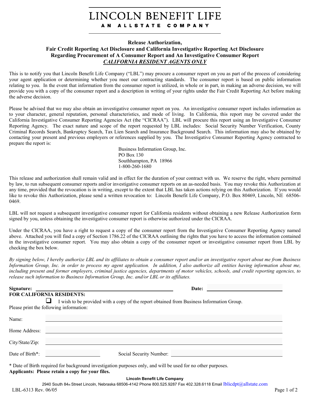#### LINCOLN BENEFIT LIFE ALLSTATE COMPANY A N

#### **Release Authorization,**

#### **Fair Credit Reporting Act Disclosure and California Investigative Reporting Act Disclosure Regarding Procurement of A Consumer Report and An Investigative Consumer Report**  *CALIFORNIA RESIDENT AGENTS ONLY*

This is to notify you that Lincoln Benefit Life Company ("LBL") may procure a consumer report on you as part of the process of considering your agent application or determining whether you meet our contracting standards. The consumer report is based on public information relating to you. In the event that information from the consumer report is utilized, in whole or in part, in making an adverse decision, we will provide you with a copy of the consumer report and a description in writing of your rights under the Fair Credit Reporting Act before making the adverse decision.

Please be advised that we may also obtain an investigative consumer report on you. An investigative consumer report includes information as to your character, general reputation, personal characteristics, and mode of living. In California, this report may be covered under the California Investigative Consumer Reporting Agencies Act (the "CICRAA"). LBL will procure this report using an Investigative Consumer Reporting Agency. The exact nature and scope of the report requested by LBL includes: Social Security Number Verification, County Criminal Records Search, Bankruptcy Search, Tax Lien Search and Insurance Background Search. This information may also be obtained by contacting your present and previous employers or references supplied by you. The Investigative Consumer Reporting Agency contracted to prepare the report is:

> Business Information Group, Inc. PO Box 130 Southhampton, PA 18966 1-800-260-1680

This release and authorization shall remain valid and in effect for the duration of your contract with us. We reserve the right, where permitted by law, to run subsequent consumer reports and/or investigative consumer reports on an as-needed basis. You may revoke this Authorization at any time, provided that the revocation is in writing, except to the extent that LBL has taken actions relying on this Authorization. If you would like to revoke this Authorization, please send a written revocation to: Lincoln Benefit Life Company, P.O. Box 80469, Lincoln, NE 68506- 0469.

LBL will not request a subsequent investigative consumer report for California residents without obtaining a new Release Authorization form signed by you, unless obtaining the investigative consumer report is otherwise authorized under the CICRAA.

Under the CICRAA, you have a right to request a copy of the consumer report from the Investigative Consumer Reporting Agency named above. Attached you will find a copy of Section 1786.22 of the CICRAA outlining the rights that you have to access the information contained in the investigative consumer report. You may also obtain a copy of the consumer report or investigative consumer report from LBL by checking the box below.

*By signing below, I hereby authorize LBL and its affiliates to obtain a consumer report and/or an investigative report about me from Business Information Group, Inc. in order to process my agent application. In addition, I also authorize all entities having information about me, including present and former employers, criminal justice agencies, departments of motor vehicles, schools, and credit reporting agencies, to release such information to Business Information Group, Inc. and/or LBL or its affiliates.* 

| Signature:      | <u> 1989 - Johann Stoff, deutscher Stoff, der Stoff, der Stoff, der Stoff, der Stoff, der Stoff, der Stoff, der S</u>                |
|-----------------|--------------------------------------------------------------------------------------------------------------------------------------|
|                 | <b>FOR CALIFORNIA RESIDENTS:</b>                                                                                                     |
|                 | I wish to be provided with a copy of the report obtained from Business Information Group.<br>Please print the following information: |
| Name:           |                                                                                                                                      |
| Home Address:   | <u> 1980 - Johann Barn, mars an t-Amerikaansk kommunister (* 1950)</u>                                                               |
| City/State/Zip: |                                                                                                                                      |
|                 |                                                                                                                                      |

| * Date of Birth required for background investigation purposes only, and will be used for no other purposes. |
|--------------------------------------------------------------------------------------------------------------|
|--------------------------------------------------------------------------------------------------------------|

**Applicants: Please retain a copy for your files.**

Date of Birth\*: Social Security Number:

#### **Lincoln Benefit Life Company**

2940 South 84th Street Lincoln, Nebraska 68506-4142 Phone 800.525.9287 Fax 402.328.6118 Email Iblicdpt@allstate.com LBL-6313 Rev. 06/05 Page 1 of 2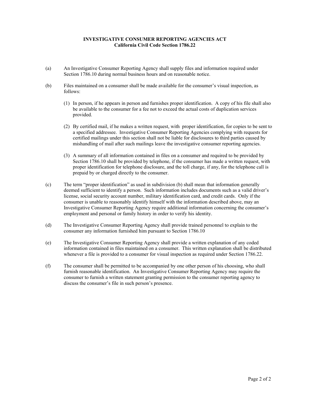#### **INVESTIGATIVE CONSUMER REPORTING AGENCIES ACT California Civil Code Section 1786.22**

- (a) An Investigative Consumer Reporting Agency shall supply files and information required under Section 1786.10 during normal business hours and on reasonable notice.
- (b) Files maintained on a consumer shall be made available for the consumer's visual inspection, as follows:
	- (1) In person, if he appears in person and furnishes proper identification. A copy of his file shall also be available to the consumer for a fee not to exceed the actual costs of duplication services provided.
	- (2) By certified mail, if he makes a written request, with proper identification, for copies to be sent to a specified addressee. Investigative Consumer Reporting Agencies complying with requests for certified mailings under this section shall not be liable for disclosures to third parties caused by mishandling of mail after such mailings leave the investigative consumer reporting agencies.
	- (3) A summary of all information contained in files on a consumer and required to be provided by Section 1786.10 shall be provided by telephone, if the consumer has made a written request, with proper identification for telephone disclosure, and the toll charge, if any, for the telephone call is prepaid by or charged directly to the consumer.
- (c) The term "proper identification" as used in subdivision (b) shall mean that information generally deemed sufficient to identify a person. Such information includes documents such as a valid driver's license, social security account number, military identification card, and credit cards. Only if the consumer is unable to reasonably identify himself with the information described above, may an Investigative Consumer Reporting Agency require additional information concerning the consumer's employment and personal or family history in order to verify his identity.
- (d) The Investigative Consumer Reporting Agency shall provide trained personnel to explain to the consumer any information furnished him pursuant to Section 1786.10
- (e) The Investigative Consumer Reporting Agency shall provide a written explanation of any coded information contained in files maintained on a consumer. This written explanation shall be distributed whenever a file is provided to a consumer for visual inspection as required under Section 1786.22.
- (f) The consumer shall be permitted to be accompanied by one other person of his choosing, who shall furnish reasonable identification. An Investigative Consumer Reporting Agency may require the consumer to furnish a written statement granting permission to the consumer reporting agency to discuss the consumer's file in such person's presence.